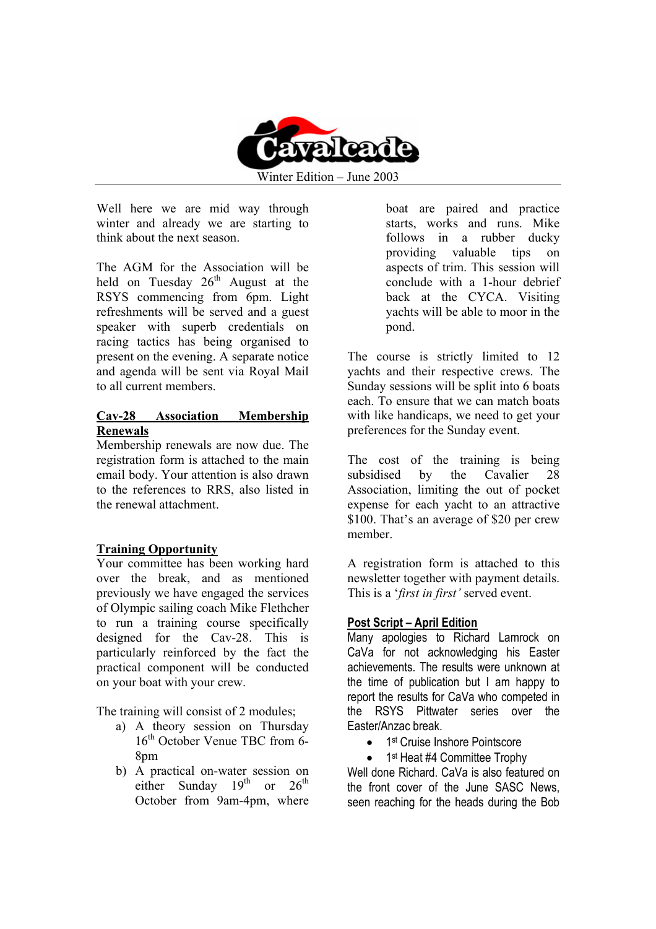

Winter Edition – June 2003

Well here we are mid way through winter and already we are starting to think about the next season.

The AGM for the Association will be held on Tuesday  $26<sup>th</sup>$  August at the RSYS commencing from 6pm. Light refreshments will be served and a guest speaker with superb credentials on racing tactics has being organised to present on the evening. A separate notice and agenda will be sent via Royal Mail to all current members.

#### **Cav-28 Association Membership Renewals**

Membership renewals are now due. The registration form is attached to the main email body. Your attention is also drawn to the references to RRS, also listed in the renewal attachment.

#### **Training Opportunity**

Your committee has been working hard over the break, and as mentioned previously we have engaged the services of Olympic sailing coach Mike Flethcher to run a training course specifically designed for the Cav-28. This is particularly reinforced by the fact the practical component will be conducted on your boat with your crew.

The training will consist of 2 modules;

- a) A theory session on Thursday 16<sup>th</sup> October Venue TBC from 6-8<sub>pm</sub>
- b) A practical on-water session on either Sunday  $19^{th}$  or  $26^{th}$ October from 9am-4pm, where

boat are paired and practice starts, works and runs. Mike follows in a rubber ducky providing valuable tips on aspects of trim. This session will conclude with a 1-hour debrief back at the CYCA. Visiting yachts will be able to moor in the pond.

The course is strictly limited to 12 yachts and their respective crews. The Sunday sessions will be split into 6 boats each. To ensure that we can match boats with like handicaps, we need to get your preferences for the Sunday event.

The cost of the training is being subsidised by the Cavalier 28 Association, limiting the out of pocket expense for each yacht to an attractive \$100. That's an average of \$20 per crew member.

A registration form is attached to this newsletter together with payment details. This is a '*first in first'* served event.

#### **Post Script – April Edition**

Many apologies to Richard Lamrock on CaVa for not acknowledging his Easter achievements. The results were unknown at the time of publication but I am happy to report the results for CaVa who competed in the RSYS Pittwater series over the Easter/Anzac break.

- 1<sup>st</sup> Cruise Inshore Pointscore
- 1<sup>st</sup> Heat #4 Committee Trophy

Well done Richard. CaVa is also featured on the front cover of the June SASC News, seen reaching for the heads during the Bob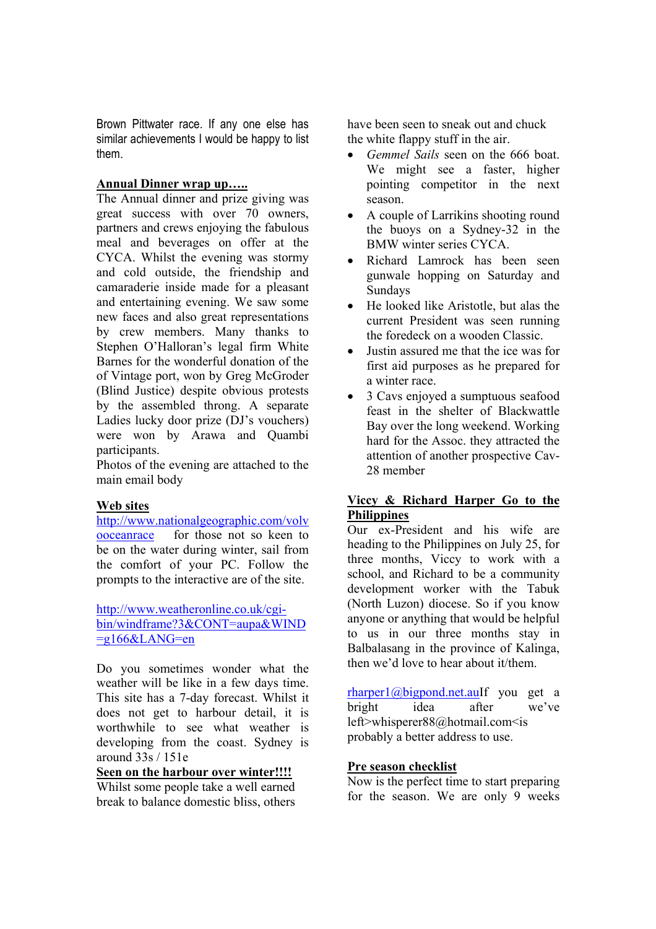Brown Pittwater race. If any one else has similar achievements I would be happy to list them.

#### **Annual Dinner wrap up…..**

The Annual dinner and prize giving was great success with over 70 owners, partners and crews enjoying the fabulous meal and beverages on offer at the CYCA. Whilst the evening was stormy and cold outside, the friendship and camaraderie inside made for a pleasant and entertaining evening. We saw some new faces and also great representations by crew members. Many thanks to Stephen O'Halloran's legal firm White Barnes for the wonderful donation of the of Vintage port, won by Greg McGroder (Blind Justice) despite obvious protests by the assembled throng. A separate Ladies lucky door prize (DJ's vouchers) were won by Arawa and Quambi participants.

Photos of the evening are attached to the main email body

#### **Web sites**

http://www.nationalgeographic.com/volv ooceanrace for those not so keen to be on the water during winter, sail from the comfort of your PC. Follow the prompts to the interactive are of the site.

http://www.weatheronline.co.uk/cgibin/windframe?3&CONT=aupa&WIND  $=$ g166&LANG=en

Do you sometimes wonder what the weather will be like in a few days time. This site has a 7-day forecast. Whilst it does not get to harbour detail, it is worthwhile to see what weather is developing from the coast. Sydney is around 33s / 151e

### **Seen on the harbour over winter!!!!**

Whilst some people take a well earned break to balance domestic bliss, others have been seen to sneak out and chuck the white flappy stuff in the air.

- *Gemmel Sails* seen on the 666 boat. We might see a faster, higher pointing competitor in the next season.
- A couple of Larrikins shooting round the buoys on a Sydney-32 in the BMW winter series CYCA.
- Richard Lamrock has been seen gunwale hopping on Saturday and Sundays
- He looked like Aristotle, but alas the current President was seen running the foredeck on a wooden Classic.
- Justin assured me that the ice was for first aid purposes as he prepared for a winter race.
- 3 Cavs enjoyed a sumptuous seafood feast in the shelter of Blackwattle Bay over the long weekend. Working hard for the Assoc. they attracted the attention of another prospective Cav-28 member

#### **Viccy & Richard Harper Go to the Philippines**

Our ex-President and his wife are heading to the Philippines on July 25, for three months, Viccy to work with a school, and Richard to be a community development worker with the Tabuk (North Luzon) diocese. So if you know anyone or anything that would be helpful to us in our three months stay in Balbalasang in the province of Kalinga, then we'd love to hear about it/them.

rharper1@bigpond.net.auIf you get a bright idea after we've left>whisperer88@hotmail.com<is probably a better address to use.

#### **Pre season checklist**

Now is the perfect time to start preparing for the season. We are only 9 weeks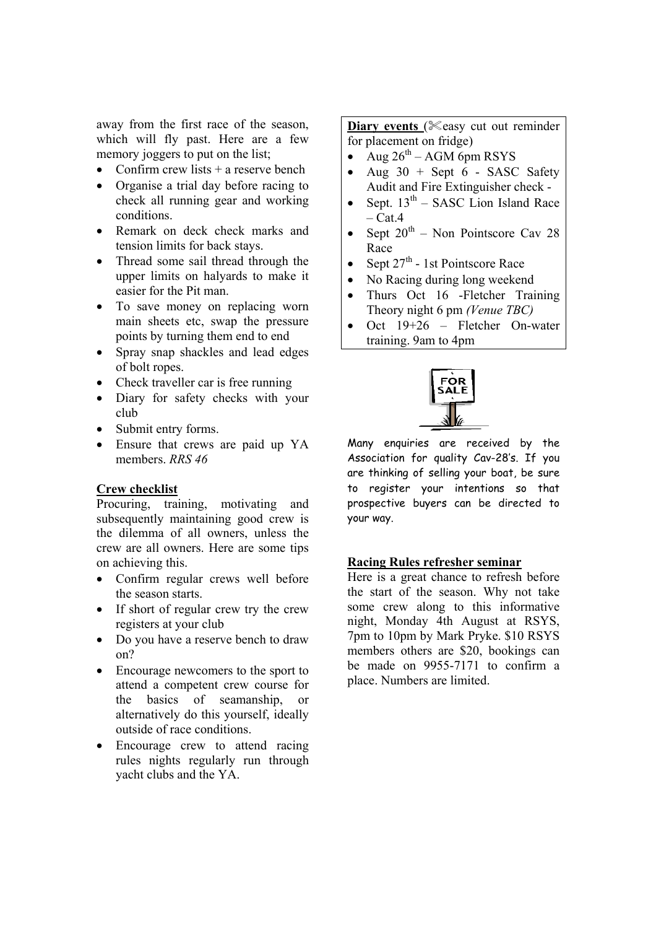away from the first race of the season, which will fly past. Here are a few memory joggers to put on the list;

- Confirm crew lists  $+$  a reserve bench
- Organise a trial day before racing to check all running gear and working conditions.
- Remark on deck check marks and tension limits for back stays.
- Thread some sail thread through the upper limits on halyards to make it easier for the Pit man.
- To save money on replacing worn main sheets etc, swap the pressure points by turning them end to end
- Spray snap shackles and lead edges of bolt ropes.
- Check traveller car is free running
- Diary for safety checks with your club
- Submit entry forms.
- Ensure that crews are paid up YA members. *RRS 46*

#### **Crew checklist**

Procuring, training, motivating and subsequently maintaining good crew is the dilemma of all owners, unless the crew are all owners. Here are some tips on achieving this.

- Confirm regular crews well before the season starts.
- If short of regular crew try the crew registers at your club
- Do you have a reserve bench to draw on?
- Encourage newcomers to the sport to attend a competent crew course for the basics of seamanship, or alternatively do this yourself, ideally outside of race conditions.
- Encourage crew to attend racing rules nights regularly run through yacht clubs and the YA.

**Diary events** (**Keasy cut out reminder** for placement on fridge)

- Aug  $26^{th}$  AGM 6pm RSYS
- Aug  $30 +$  Sept 6 SASC Safety Audit and Fire Extinguisher check -
- Sept.  $13<sup>th</sup>$  SASC Lion Island Race  $-$  Cat.4
- Sept  $20^{th}$  Non Pointscore Cav 28 Race
- Sept  $27<sup>th</sup>$  1st Pointscore Race
- No Racing during long weekend
- Thurs Oct 16 Fletcher Training Theory night 6 pm *(Venue TBC)*
- Oct 19+26 Fletcher On-water training. 9am to 4pm



Many enquiries are received by the Association for quality Cav-28's. If you are thinking of selling your boat, be sure to register your intentions so that prospective buyers can be directed to your way.

#### **Racing Rules refresher seminar**

Here is a great chance to refresh before the start of the season. Why not take some crew along to this informative night, Monday 4th August at RSYS, 7pm to 10pm by Mark Pryke. \$10 RSYS members others are \$20, bookings can be made on 9955-7171 to confirm a place. Numbers are limited.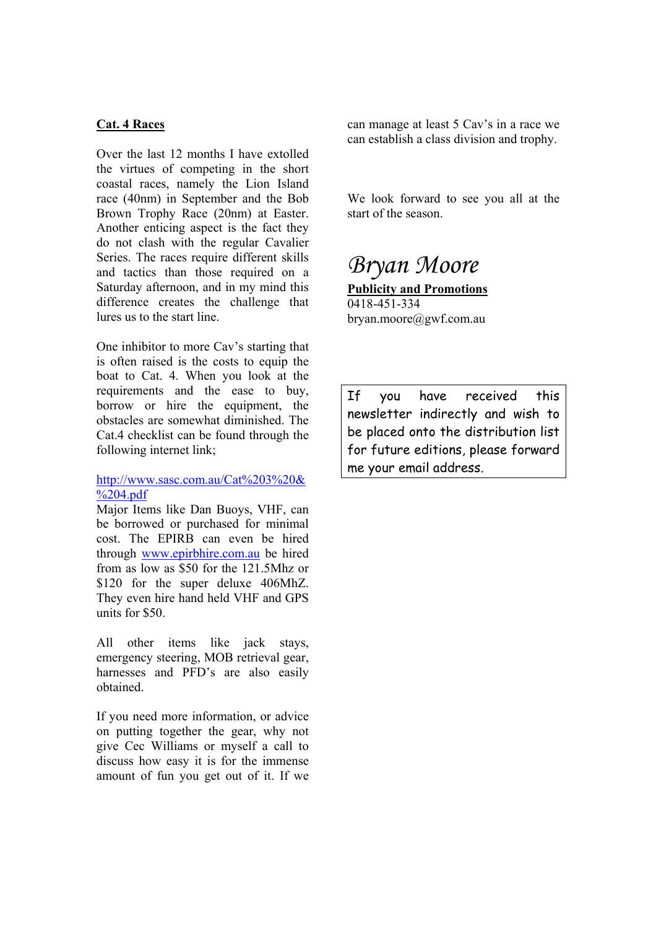#### **Cat. 4 Races**

Over the last 12 months I have extolled the virtues of competing in the short coastal races, namely the Lion Island race (40nm) in September and the Bob Brown Trophy Race (20nm) at Easter. Another enticing aspect is the fact they do not clash with the regular Cavalier Series. The races require different skills and tactics than those required on a Saturday afternoon, and in my mind this difference creates the challenge that lures us to the start line.

One inhibitor to more Cav's starting that is often raised is the costs to equip the boat to Cat. 4. When you look at the requirements and the ease to buy, borrow or hire the equipment, the obstacles are somewhat diminished. The Cat.4 checklist can be found through the following internet link;

#### http://www.sasc.com.au/Cat%203%20& %204.pdf

Major Items like Dan Buoys, VHF, can be borrowed or purchased for minimal cost. The EPIRB can even be hired through www.epirbhire.com.au be hired from as low as \$50 for the 121.5Mhz or \$120 for the super deluxe 406MhZ. They even hire hand held VHF and GPS units for \$50.

All other items like jack stays, emergency steering, MOB retrieval gear, harnesses and PFD's are also easily obtained.

If you need more information, or advice on putting together the gear, why not give Cec Williams or myself a call to discuss how easy it is for the immense amount of fun you get out of it. If we can manage at least 5 Cav's in a race we can establish a class division and trophy.

We look forward to see you all at the start of the season.

# *Bryan Moore*

**Publicity and Promotions** 0418-451-334 bryan.moore@gwf.com.au

If you have received this newsletter indirectly and wish to be placed onto the distribution list for future editions, please forward me your email address.